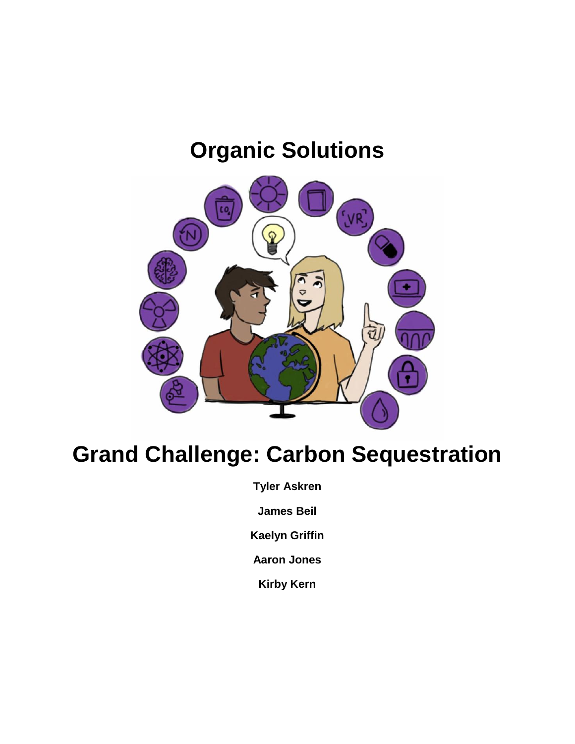# **Organic Solutions**



# **Grand Challenge: Carbon Sequestration**

**Tyler Askren**

**James Beil**

**Kaelyn Griffin**

**Aaron Jones**

**Kirby Kern**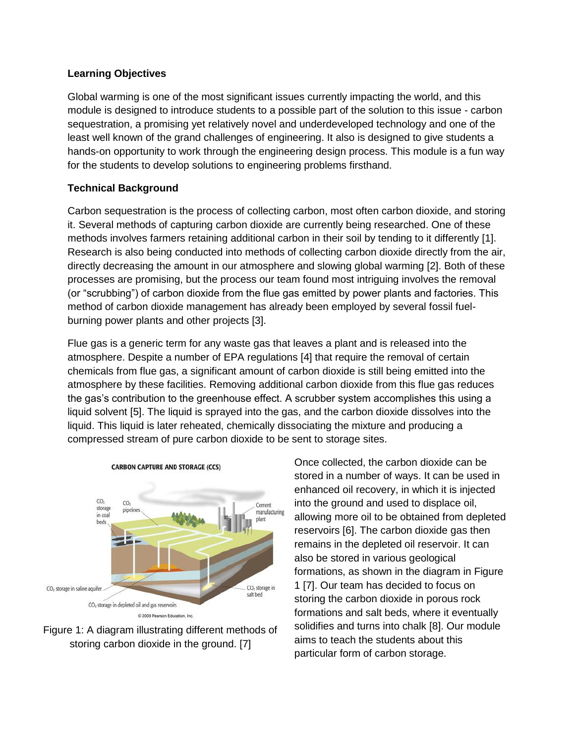#### **Learning Objectives**

Global warming is one of the most significant issues currently impacting the world, and this module is designed to introduce students to a possible part of the solution to this issue - carbon sequestration, a promising yet relatively novel and underdeveloped technology and one of the least well known of the grand challenges of engineering. It also is designed to give students a hands-on opportunity to work through the engineering design process. This module is a fun way for the students to develop solutions to engineering problems firsthand.

#### **Technical Background**

Carbon sequestration is the process of collecting carbon, most often carbon dioxide, and storing it. Several methods of capturing carbon dioxide are currently being researched. One of these methods involves farmers retaining additional carbon in their soil by tending to it differently [1]. Research is also being conducted into methods of collecting carbon dioxide directly from the air, directly decreasing the amount in our atmosphere and slowing global warming [2]. Both of these processes are promising, but the process our team found most intriguing involves the removal (or "scrubbing") of carbon dioxide from the flue gas emitted by power plants and factories. This method of carbon dioxide management has already been employed by several fossil fuelburning power plants and other projects [3].

Flue gas is a generic term for any waste gas that leaves a plant and is released into the atmosphere. Despite a number of EPA regulations [4] that require the removal of certain chemicals from flue gas, a significant amount of carbon dioxide is still being emitted into the atmosphere by these facilities. Removing additional carbon dioxide from this flue gas reduces the gas's contribution to the greenhouse effect. A scrubber system accomplishes this using a liquid solvent [5]. The liquid is sprayed into the gas, and the carbon dioxide dissolves into the liquid. This liquid is later reheated, chemically dissociating the mixture and producing a compressed stream of pure carbon dioxide to be sent to storage sites.





Once collected, the carbon dioxide can be stored in a number of ways. It can be used in enhanced oil recovery, in which it is injected into the ground and used to displace oil, allowing more oil to be obtained from depleted reservoirs [6]. The carbon dioxide gas then remains in the depleted oil reservoir. It can also be stored in various geological formations, as shown in the diagram in Figure 1 [7]. Our team has decided to focus on storing the carbon dioxide in porous rock formations and salt beds, where it eventually solidifies and turns into chalk [8]. Our module aims to teach the students about this particular form of carbon storage.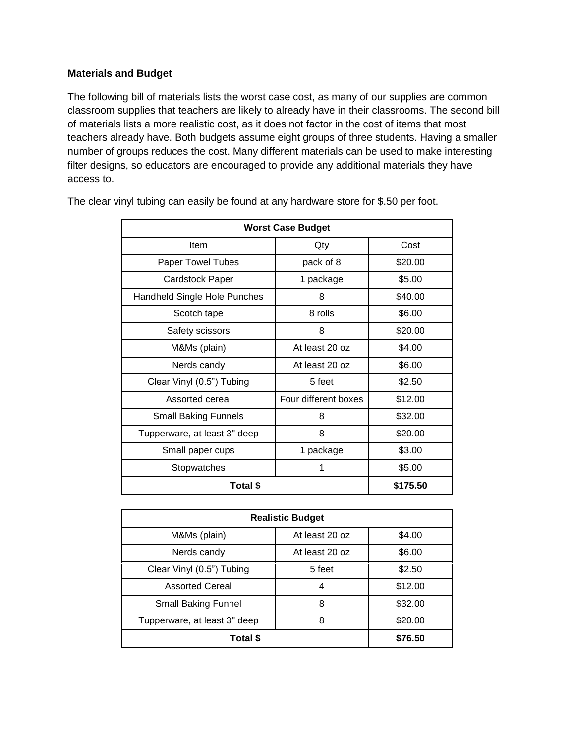#### **Materials and Budget**

The following bill of materials lists the worst case cost, as many of our supplies are common classroom supplies that teachers are likely to already have in their classrooms. The second bill of materials lists a more realistic cost, as it does not factor in the cost of items that most teachers already have. Both budgets assume eight groups of three students. Having a smaller number of groups reduces the cost. Many different materials can be used to make interesting filter designs, so educators are encouraged to provide any additional materials they have access to.

| <b>Worst Case Budget</b>     |                      |          |  |  |  |
|------------------------------|----------------------|----------|--|--|--|
| Item                         | Qty                  | Cost     |  |  |  |
| <b>Paper Towel Tubes</b>     | pack of 8            | \$20.00  |  |  |  |
| Cardstock Paper              | 1 package            | \$5.00   |  |  |  |
| Handheld Single Hole Punches | 8                    | \$40.00  |  |  |  |
| Scotch tape                  | 8 rolls              | \$6.00   |  |  |  |
| Safety scissors              | 8                    | \$20.00  |  |  |  |
| M&Ms (plain)                 | At least 20 oz       | \$4.00   |  |  |  |
| Nerds candy                  | At least 20 oz       | \$6.00   |  |  |  |
| Clear Vinyl (0.5") Tubing    | 5 feet               | \$2.50   |  |  |  |
| Assorted cereal              | Four different boxes | \$12.00  |  |  |  |
| <b>Small Baking Funnels</b>  | 8                    | \$32.00  |  |  |  |
| Tupperware, at least 3" deep | 8                    | \$20.00  |  |  |  |
| Small paper cups             | 1 package            | \$3.00   |  |  |  |
| Stopwatches                  | 1                    | \$5.00   |  |  |  |
| Total \$                     |                      | \$175.50 |  |  |  |

The clear vinyl tubing can easily be found at any hardware store for \$.50 per foot.

| <b>Realistic Budget</b>      |                |         |  |  |  |
|------------------------------|----------------|---------|--|--|--|
| M&Ms (plain)                 | At least 20 oz | \$4.00  |  |  |  |
| Nerds candy                  | At least 20 oz | \$6.00  |  |  |  |
| Clear Vinyl (0.5") Tubing    | 5 feet         | \$2.50  |  |  |  |
| <b>Assorted Cereal</b>       | 4              | \$12.00 |  |  |  |
| <b>Small Baking Funnel</b>   | 8              | \$32.00 |  |  |  |
| Tupperware, at least 3" deep | 8              | \$20.00 |  |  |  |
| Total \$                     |                | \$76.50 |  |  |  |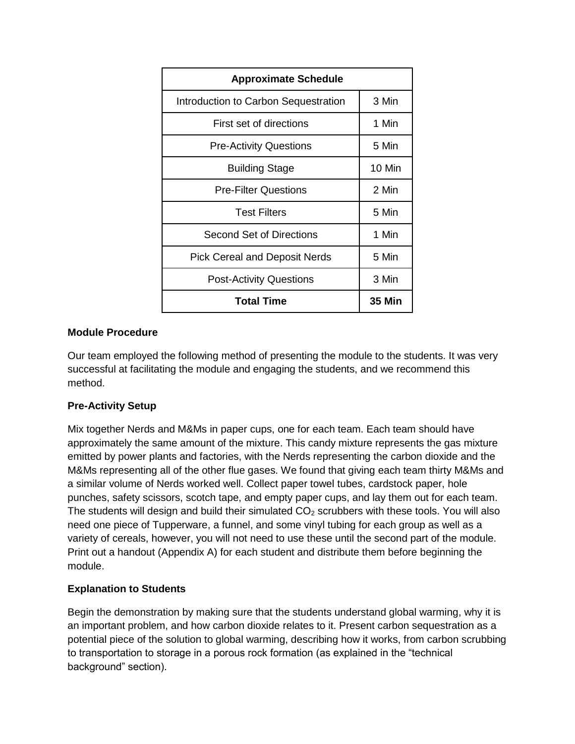| <b>Approximate Schedule</b>          |               |  |  |  |
|--------------------------------------|---------------|--|--|--|
| Introduction to Carbon Sequestration | 3 Min         |  |  |  |
| First set of directions              | 1 Min         |  |  |  |
| <b>Pre-Activity Questions</b>        | 5 Min         |  |  |  |
| <b>Building Stage</b>                | 10 Min        |  |  |  |
| <b>Pre-Filter Questions</b>          | 2 Min         |  |  |  |
| <b>Test Filters</b>                  | 5 Min         |  |  |  |
| Second Set of Directions             | 1 Min         |  |  |  |
| <b>Pick Cereal and Deposit Nerds</b> | 5 Min         |  |  |  |
| <b>Post-Activity Questions</b>       | 3 Min         |  |  |  |
| <b>Total Time</b>                    | <b>35 Min</b> |  |  |  |

#### **Module Procedure**

Our team employed the following method of presenting the module to the students. It was very successful at facilitating the module and engaging the students, and we recommend this method.

#### **Pre-Activity Setup**

Mix together Nerds and M&Ms in paper cups, one for each team. Each team should have approximately the same amount of the mixture. This candy mixture represents the gas mixture emitted by power plants and factories, with the Nerds representing the carbon dioxide and the M&Ms representing all of the other flue gases. We found that giving each team thirty M&Ms and a similar volume of Nerds worked well. Collect paper towel tubes, cardstock paper, hole punches, safety scissors, scotch tape, and empty paper cups, and lay them out for each team. The students will design and build their simulated  $CO<sub>2</sub>$  scrubbers with these tools. You will also need one piece of Tupperware, a funnel, and some vinyl tubing for each group as well as a variety of cereals, however, you will not need to use these until the second part of the module. Print out a handout (Appendix A) for each student and distribute them before beginning the module.

#### **Explanation to Students**

Begin the demonstration by making sure that the students understand global warming, why it is an important problem, and how carbon dioxide relates to it. Present carbon sequestration as a potential piece of the solution to global warming, describing how it works, from carbon scrubbing to transportation to storage in a porous rock formation (as explained in the "technical background" section).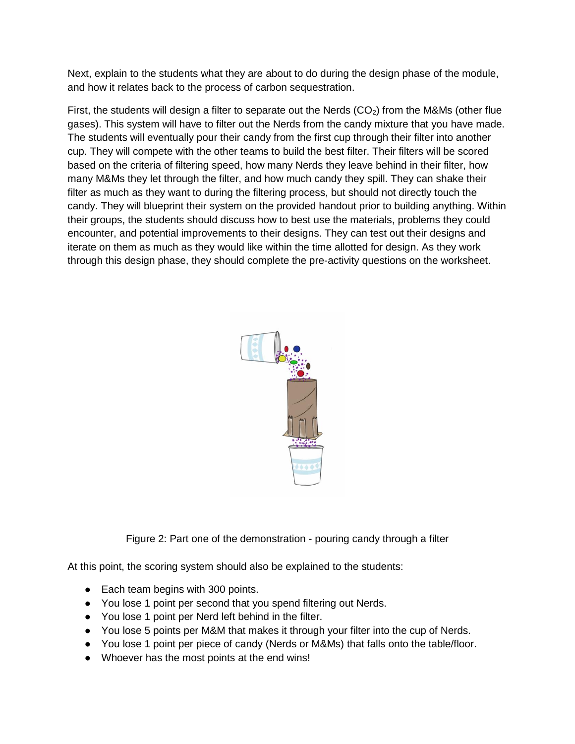Next, explain to the students what they are about to do during the design phase of the module, and how it relates back to the process of carbon sequestration.

First, the students will design a filter to separate out the Nerds  $(CO<sub>2</sub>)$  from the M&Ms (other flue gases). This system will have to filter out the Nerds from the candy mixture that you have made. The students will eventually pour their candy from the first cup through their filter into another cup. They will compete with the other teams to build the best filter. Their filters will be scored based on the criteria of filtering speed, how many Nerds they leave behind in their filter, how many M&Ms they let through the filter, and how much candy they spill. They can shake their filter as much as they want to during the filtering process, but should not directly touch the candy. They will blueprint their system on the provided handout prior to building anything. Within their groups, the students should discuss how to best use the materials, problems they could encounter, and potential improvements to their designs. They can test out their designs and iterate on them as much as they would like within the time allotted for design. As they work through this design phase, they should complete the pre-activity questions on the worksheet.



Figure 2: Part one of the demonstration - pouring candy through a filter

At this point, the scoring system should also be explained to the students:

- Each team begins with 300 points.
- You lose 1 point per second that you spend filtering out Nerds.
- You lose 1 point per Nerd left behind in the filter.
- You lose 5 points per M&M that makes it through your filter into the cup of Nerds.
- You lose 1 point per piece of candy (Nerds or M&Ms) that falls onto the table/floor.
- Whoever has the most points at the end wins!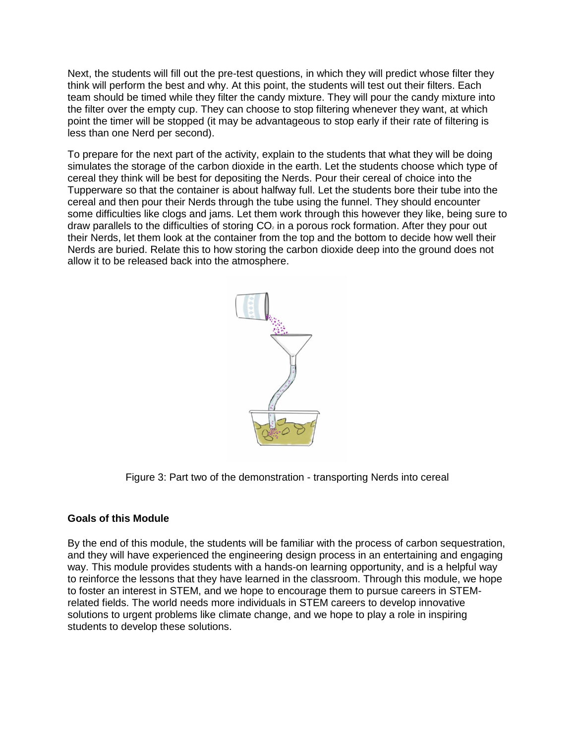Next, the students will fill out the pre-test questions, in which they will predict whose filter they think will perform the best and why. At this point, the students will test out their filters. Each team should be timed while they filter the candy mixture. They will pour the candy mixture into the filter over the empty cup. They can choose to stop filtering whenever they want, at which point the timer will be stopped (it may be advantageous to stop early if their rate of filtering is less than one Nerd per second).

To prepare for the next part of the activity, explain to the students that what they will be doing simulates the storage of the carbon dioxide in the earth. Let the students choose which type of cereal they think will be best for depositing the Nerds. Pour their cereal of choice into the Tupperware so that the container is about halfway full. Let the students bore their tube into the cereal and then pour their Nerds through the tube using the funnel. They should encounter some difficulties like clogs and jams. Let them work through this however they like, being sure to draw parallels to the difficulties of storing  $CO<sub>2</sub>$  in a porous rock formation. After they pour out their Nerds, let them look at the container from the top and the bottom to decide how well their Nerds are buried. Relate this to how storing the carbon dioxide deep into the ground does not allow it to be released back into the atmosphere.



Figure 3: Part two of the demonstration - transporting Nerds into cereal

#### **Goals of this Module**

By the end of this module, the students will be familiar with the process of carbon sequestration, and they will have experienced the engineering design process in an entertaining and engaging way. This module provides students with a hands-on learning opportunity, and is a helpful way to reinforce the lessons that they have learned in the classroom. Through this module, we hope to foster an interest in STEM, and we hope to encourage them to pursue careers in STEMrelated fields. The world needs more individuals in STEM careers to develop innovative solutions to urgent problems like climate change, and we hope to play a role in inspiring students to develop these solutions.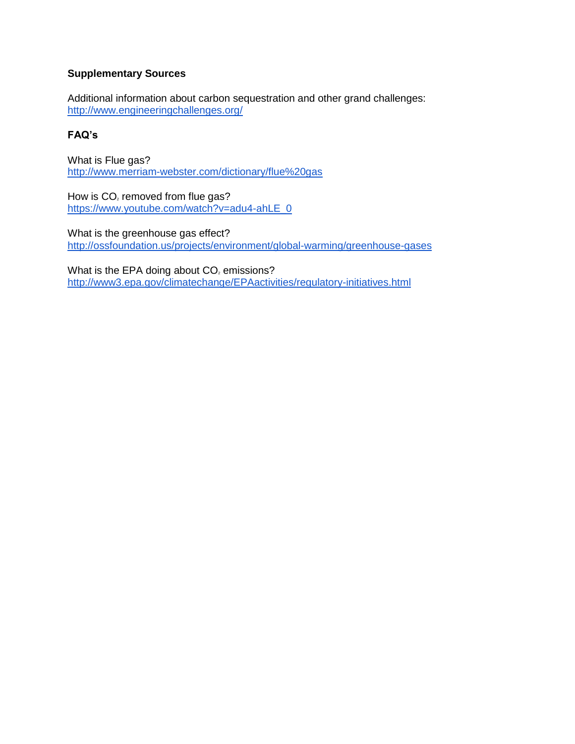#### **Supplementary Sources**

Additional information about carbon sequestration and other grand challenges: <http://www.engineeringchallenges.org/>

#### **FAQ's**

What is Flue gas? <http://www.merriam-webster.com/dictionary/flue%20gas>

How is  $CO<sub>2</sub>$  removed from flue gas? [https://www.youtube.com/watch?v=adu4-ahLE\\_0](https://www.youtube.com/watch?v=adu4-ahLE_0)

What is the greenhouse gas effect? <http://ossfoundation.us/projects/environment/global-warming/greenhouse-gases>

What is the EPA doing about CO<sub>2</sub> emissions? <http://www3.epa.gov/climatechange/EPAactivities/regulatory-initiatives.html>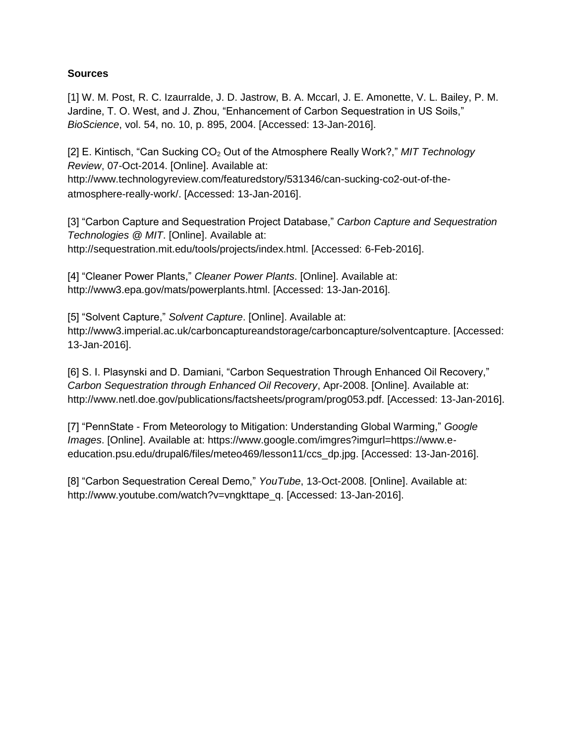#### **Sources**

[1] W. M. Post, R. C. Izaurralde, J. D. Jastrow, B. A. Mccarl, J. E. Amonette, V. L. Bailey, P. M. Jardine, T. O. West, and J. Zhou, "Enhancement of Carbon Sequestration in US Soils," *BioScience*, vol. 54, no. 10, p. 895, 2004. [Accessed: 13-Jan-2016].

[2] E. Kintisch, "Can Sucking CO<sup>2</sup> Out of the Atmosphere Really Work?," *MIT Technology Review*, 07-Oct-2014. [Online]. Available at: http://www.technologyreview.com/featuredstory/531346/can-sucking-co2-out-of-theatmosphere-really-work/. [Accessed: 13-Jan-2016].

[3] "Carbon Capture and Sequestration Project Database," *Carbon Capture and Sequestration Technologies @ MIT*. [Online]. Available at: http://sequestration.mit.edu/tools/projects/index.html. [Accessed: 6-Feb-2016].

[4] "Cleaner Power Plants," *Cleaner Power Plants*. [Online]. Available at: http://www3.epa.gov/mats/powerplants.html. [Accessed: 13-Jan-2016].

[5] "Solvent Capture," *Solvent Capture*. [Online]. Available at: http://www3.imperial.ac.uk/carboncaptureandstorage/carboncapture/solventcapture. [Accessed: 13-Jan-2016].

[6] S. I. Plasynski and D. Damiani, "Carbon Sequestration Through Enhanced Oil Recovery," *Carbon Sequestration through Enhanced Oil Recovery*, Apr-2008. [Online]. Available at: http://www.netl.doe.gov/publications/factsheets/program/prog053.pdf. [Accessed: 13-Jan-2016].

[7] "PennState - From Meteorology to Mitigation: Understanding Global Warming," *Google Images*. [Online]. Available at: https://www.google.com/imgres?imgurl=https://www.eeducation.psu.edu/drupal6/files/meteo469/lesson11/ccs\_dp.jpg. [Accessed: 13-Jan-2016].

[8] "Carbon Sequestration Cereal Demo," *YouTube*, 13-Oct-2008. [Online]. Available at: http://www.youtube.com/watch?v=vngkttape\_q. [Accessed: 13-Jan-2016].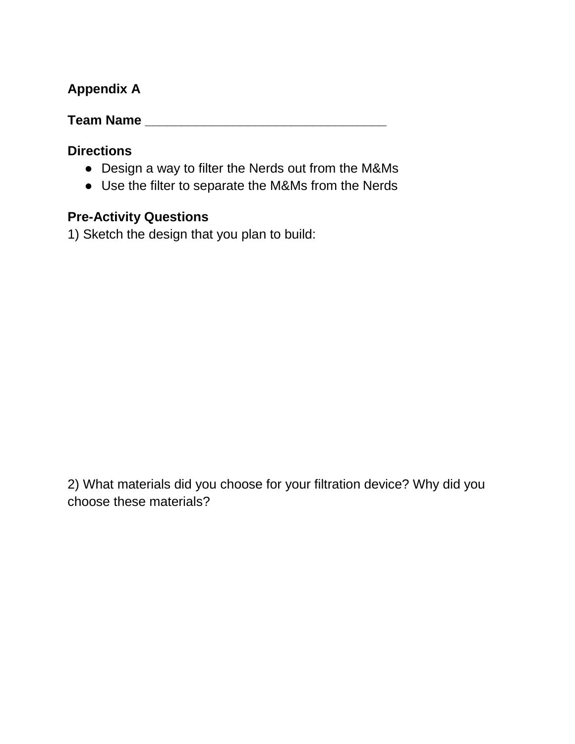# **Appendix A**

**Team Name \_\_\_\_\_\_\_\_\_\_\_\_\_\_\_\_\_\_\_\_\_\_\_\_\_\_\_\_\_\_\_\_\_**

# **Directions**

- Design a way to filter the Nerds out from the M&Ms
- Use the filter to separate the M&Ms from the Nerds

# **Pre-Activity Questions**

1) Sketch the design that you plan to build:

2) What materials did you choose for your filtration device? Why did you choose these materials?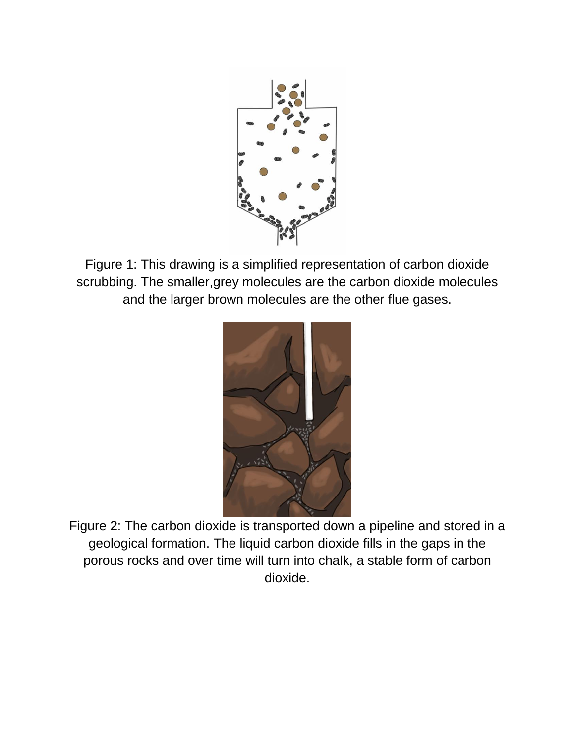

Figure 1: This drawing is a simplified representation of carbon dioxide scrubbing. The smaller,grey molecules are the carbon dioxide molecules and the larger brown molecules are the other flue gases.



Figure 2: The carbon dioxide is transported down a pipeline and stored in a geological formation. The liquid carbon dioxide fills in the gaps in the porous rocks and over time will turn into chalk, a stable form of carbon dioxide.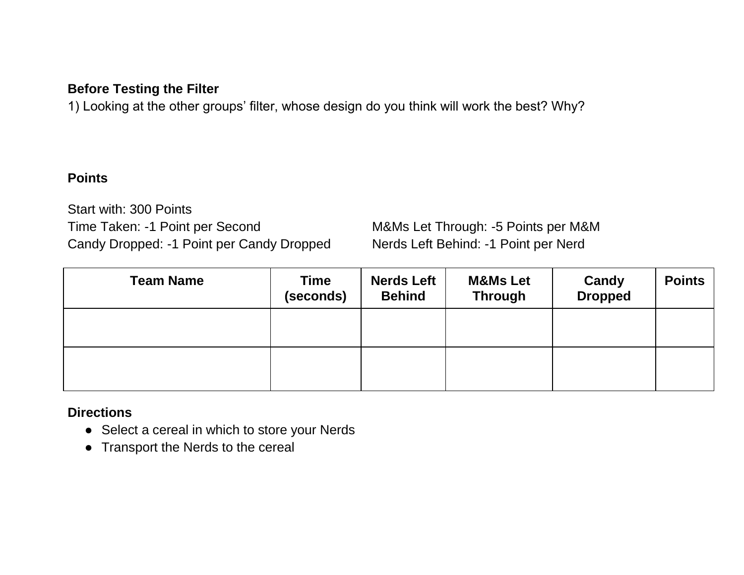## **Before Testing the Filter**

1) Looking at the other groups' filter, whose design do you think will work the best? Why?

### **Points**

Start with: 300 Points Time Taken: -1 Point per Second M&Ms Let Through: -5 Points per M&M Candy Dropped: -1 Point per Candy Dropped Nerds Left Behind: -1 Point per Nerd

| <b>Team Name</b> | <b>Time</b><br>(seconds) | <b>Nerds Left</b><br><b>Behind</b> | <b>M&amp;Ms Let</b><br><b>Through</b> | Candy<br><b>Dropped</b> | <b>Points</b> |
|------------------|--------------------------|------------------------------------|---------------------------------------|-------------------------|---------------|
|                  |                          |                                    |                                       |                         |               |
|                  |                          |                                    |                                       |                         |               |

### **Directions**

- Select a cereal in which to store your Nerds
- Transport the Nerds to the cereal